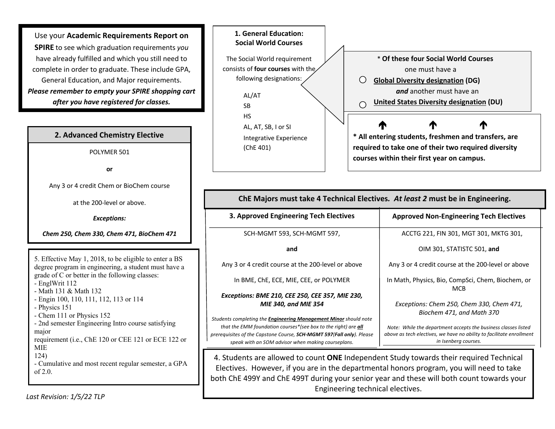Use your **Academic Requirements Report on SPIRE** to see which graduation requirements *you* have already fulfilled and which you still need to complete in order to graduate. These include GPA, General Education, and Major requirements. *Please remember to empty your SPIRE shopping cart after you have registered for classes.*

## **2. Advanced Chemistry Elective**

POLYMER 501

**or**

Any 3 or 4 credit Chem or BioChem course

at the 200-level or above.

*Exceptions:* 

*Chem 250, Chem 330, Chem 471, BioChem 471*

5. Effective May 1, 2018, to be eligible to enter a BS degree program in engineering, a student must have a grade of C or better in the following classes: - EnglWrit 112 - Math 131 & Math 132 - Engin 100, 110, 111, 112, 113 or 114 - Physics 151 - Chem 111 or Physics 152 - 2nd semester Engineering Intro course satisfying major requirement (i.e., ChE 120 or CEE 121 or ECE 122 or MIE

124)

- Cumulative and most recent regular semester, a GPA  $of 2.0.$ 



**Acceptable Alternative Chemistry Sequences 3. Approved Engineering Tech Electives** SCH-MGMT 593, SCH-MGMT 597, **and** Any 3 or 4 credit course at the 200-level or above In BME, ChE, ECE, MIE, CEE, or POLYMER *Exceptions: BME 210, CEE 250, CEE 357, MIE 230, MIE 340, and MIE 354 Students completing the Engineering Management Minor should note that the EMM foundation courses\*(see box to the right) are all prerequisites of the Capstone Course, SCH-MGMT 597(Fall only). Please speak with an SOM advisor when making courseplans.* **ChE Majors must take 4 Technical Electives***. At least 2* **must be in Engineering. Approved Non-Engineering Tech Electives** ACCTG 221, FIN 301, MGT 301, MKTG 301, OIM 301, STATISTC 501, **and** Any 3 or 4 credit course at the 200-level or above In Math, Physics, Bio, CompSci, Chem, Biochem, or MCB *Exceptions: Chem 250, Chem 330, Chem 471, Biochem 471, and Math 370 Note: While the department accepts the business classes listed above as tech electives, we have no ability to facilitate enrollment in Isenberg courses.*

4. Students are allowed to count **ONE** Independent Study towards their required Technical Electives. However, if you are in the departmental honors program, you will need to take both ChE 499Y and ChE 499T during your senior year and these will both count towards your Engineering technical electives.

*Last Revision: 1/5/22 TLP*